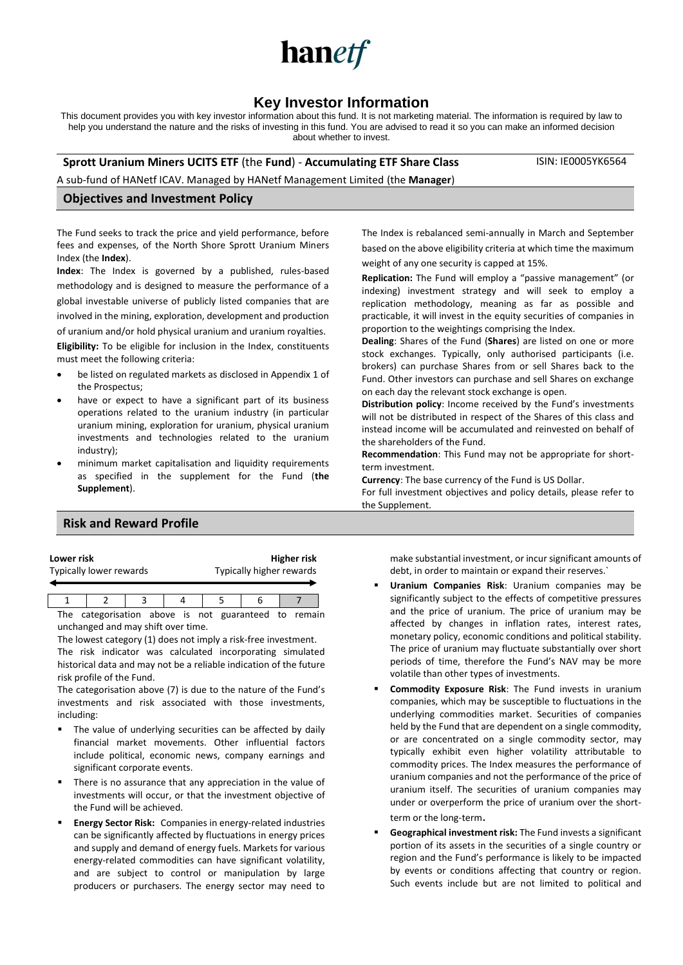

# **Key Investor Information**

This document provides you with key investor information about this fund. It is not marketing material. The information is required by law to help you understand the nature and the risks of investing in this fund. You are advised to read it so you can make an informed decision about whether to invest.

#### **Sprott Uranium Miners UCITS ETF** (the **Fund**) - **Accumulating ETF Share Class**

ISIN: IE0005YK6564

A sub-fund of HANetf ICAV. Managed by HANetf Management Limited (the **Manager**)

#### **Objectives and Investment Policy**

The Fund seeks to track the price and yield performance, before fees and expenses, of the North Shore Sprott Uranium Miners Index (the **Index**).

**Index**: The Index is governed by a published, rules-based methodology and is designed to measure the performance of a global investable universe of publicly listed companies that are involved in the mining, exploration, development and production of uranium and/or hold physical uranium and uranium royalties.

**Eligibility:** To be eligible for inclusion in the Index, constituents must meet the following criteria:

- be listed on regulated markets as disclosed in Appendix 1 of the Prospectus;
- have or expect to have a significant part of its business operations related to the uranium industry (in particular uranium mining, exploration for uranium, physical uranium investments and technologies related to the uranium industry);
- minimum market capitalisation and liquidity requirements as specified in the supplement for the Fund (**the Supplement**).

# **Risk and Reward Profile**

| Lower risk              | <b>Higher risk</b>       |
|-------------------------|--------------------------|
| Typically lower rewards | Typically higher rewards |
|                         |                          |

1 2 3 4 5 6 7 The categorisation above is not guaranteed to remain unchanged and may shift over time.

The lowest category (1) does not imply a risk-free investment. The risk indicator was calculated incorporating simulated historical data and may not be a reliable indication of the future risk profile of the Fund.

The categorisation above (7) is due to the nature of the Fund's investments and risk associated with those investments, including:

- The value of underlying securities can be affected by daily financial market movements. Other influential factors include political, economic news, company earnings and significant corporate events.
- There is no assurance that any appreciation in the value of investments will occur, or that the investment objective of the Fund will be achieved.
- **Energy Sector Risk:** Companies in energy-related industries can be significantly affected by fluctuations in energy prices and supply and demand of energy fuels. Markets for various energy-related commodities can have significant volatility, and are subject to control or manipulation by large producers or purchasers. The energy sector may need to

The Index is rebalanced semi-annually in March and September based on the above eligibility criteria at which time the maximum weight of any one security is capped at 15%.

**Replication:** The Fund will employ a "passive management" (or indexing) investment strategy and will seek to employ a replication methodology, meaning as far as possible and practicable, it will invest in the equity securities of companies in proportion to the weightings comprising the Index.

**Dealing**: Shares of the Fund (**Shares**) are listed on one or more stock exchanges. Typically, only authorised participants (i.e. brokers) can purchase Shares from or sell Shares back to the Fund. Other investors can purchase and sell Shares on exchange on each day the relevant stock exchange is open.

**Distribution policy**: Income received by the Fund's investments will not be distributed in respect of the Shares of this class and instead income will be accumulated and reinvested on behalf of the shareholders of the Fund.

**Recommendation**: This Fund may not be appropriate for shortterm investment.

**Currency**: The base currency of the Fund is US Dollar.

For full investment objectives and policy details, please refer to the Supplement.

> make substantial investment, or incur significant amounts of debt, in order to maintain or expand their reserves.`

- **Uranium Companies Risk:** Uranium companies may be significantly subject to the effects of competitive pressures and the price of uranium. The price of uranium may be affected by changes in inflation rates, interest rates, monetary policy, economic conditions and political stability. The price of uranium may fluctuate substantially over short periods of time, therefore the Fund's NAV may be more volatile than other types of investments.
- **Commodity Exposure Risk: The Fund invests in uranium** companies, which may be susceptible to fluctuations in the underlying commodities market. Securities of companies held by the Fund that are dependent on a single commodity, or are concentrated on a single commodity sector, may typically exhibit even higher volatility attributable to commodity prices. The Index measures the performance of uranium companies and not the performance of the price of uranium itself. The securities of uranium companies may under or overperform the price of uranium over the shortterm or the long-term.
- **Geographical investment risk:** The Fund invests a significant portion of its assets in the securities of a single country or region and the Fund's performance is likely to be impacted by events or conditions affecting that country or region. Such events include but are not limited to political and